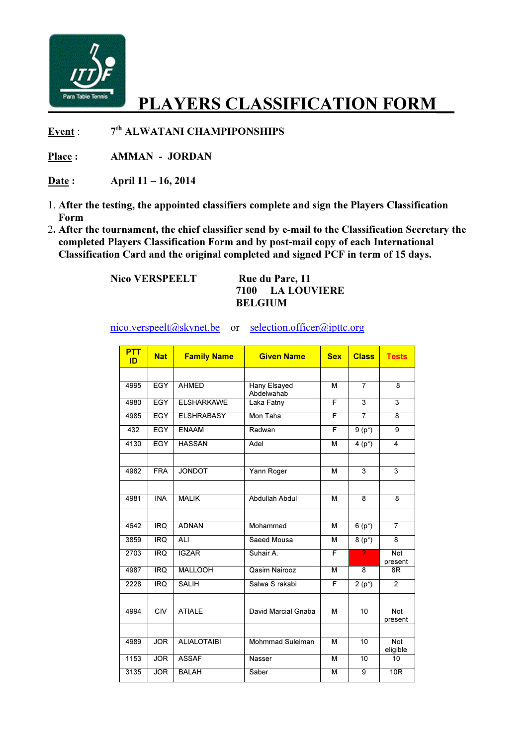

## PLAYERS CLASSIFICATION FORM

Event : th ALWATANI CHAMPIPONSHIPS

Place : **AMMAN** - JORDAN

Date: April 11 – 16, 2014

- 1. After the testing, the appointed classifiers complete and sign the Players Classification Form
- 2. After the tournament, the chief classifier send by e-mail to the Classification Secretary the completed Players Classification Form and by post-mail copy of each International Classification Card and the original completed and signed PCF in term of 15 days.

Nico VERSPEELT Rue du Parc, 11

## 7100 LA LOUVIERE BELGIUM

nico.verspeelt@skynet.be or selection.officer@ipttc.org

| <b>PTT</b><br>ID | <b>Nat</b>              | <b>Family Name</b> | <b>Given Name</b>          | <b>Sex</b> | <b>Class</b>    | <b>Tests</b>           |
|------------------|-------------------------|--------------------|----------------------------|------------|-----------------|------------------------|
|                  |                         |                    |                            |            |                 |                        |
| 4995             | <b>EGY</b>              | <b>AHMED</b>       | Hany Elsayed<br>Abdelwahab | M          | $\overline{7}$  | 8                      |
| 4980             | <b>EGY</b>              | <b>ELSHARKAWE</b>  | Laka Fatny                 | F          | $\overline{3}$  | $\overline{3}$         |
| 4985             | <b>EGY</b>              | <b>ELSHRABASY</b>  | Mon Taha                   | F          | $\overline{7}$  | 8                      |
| 432              | <b>EGY</b>              | <b>ENAAM</b>       | Radwan                     | F          | $9(p^*)$        | 9                      |
| 4130             | <b>EGY</b>              | <b>HASSAN</b>      | Adel                       | М          | $4(p^*)$        | 4                      |
|                  |                         |                    |                            |            |                 |                        |
| 4982             | <b>FRA</b>              | <b>JONDOT</b>      | Yann Roger                 | м          | $\overline{3}$  | $\overline{3}$         |
|                  |                         |                    |                            |            |                 |                        |
| 4981             | <b>INA</b>              | <b>MALIK</b>       | Abdullah Abdul             | M          | $\overline{8}$  | $\overline{8}$         |
|                  |                         |                    |                            |            |                 |                        |
| 4642             | <b>IRQ</b>              | <b>ADNAN</b>       | Mohammed                   | M          | $6(p^*)$        | $\overline{7}$         |
| 3859             | IRQ                     | ALI                | Saeed Mousa                | М          | $8(p^*)$        | $\overline{8}$         |
| 2703             | <b>IRQ</b>              | <b>IGZAR</b>       | Suhair A.                  | F          | 2               | Not<br>present         |
| 4987             | $\overline{RQ}$         | <b>MALLOOH</b>     | Qasim Nairooz              | M          | 8               | 8R                     |
| 2228             | <b>IRQ</b>              | <b>SALIH</b>       | Salwa S rakabi             | F          | $2(p^*)$        | 2                      |
|                  |                         |                    |                            |            |                 |                        |
| 4994             | $\overline{\text{CIV}}$ | <b>ATIALE</b>      | David Marcial Gnaba        | M          | 10              | <b>Not</b><br>present  |
|                  |                         |                    |                            |            |                 |                        |
| 4989             | <b>JOR</b>              | <b>ALIALOTAIBI</b> | <b>Mohmmad Suleiman</b>    | M          | 10              | <b>Not</b><br>eligible |
| 1153             | <b>JOR</b>              | <b>ASSAF</b>       | Nasser                     | M          | $\overline{10}$ | 10                     |
| 3135             | <b>JOR</b>              | <b>BALAH</b>       | Saber                      | М          | 9               | 10 <sub>R</sub>        |